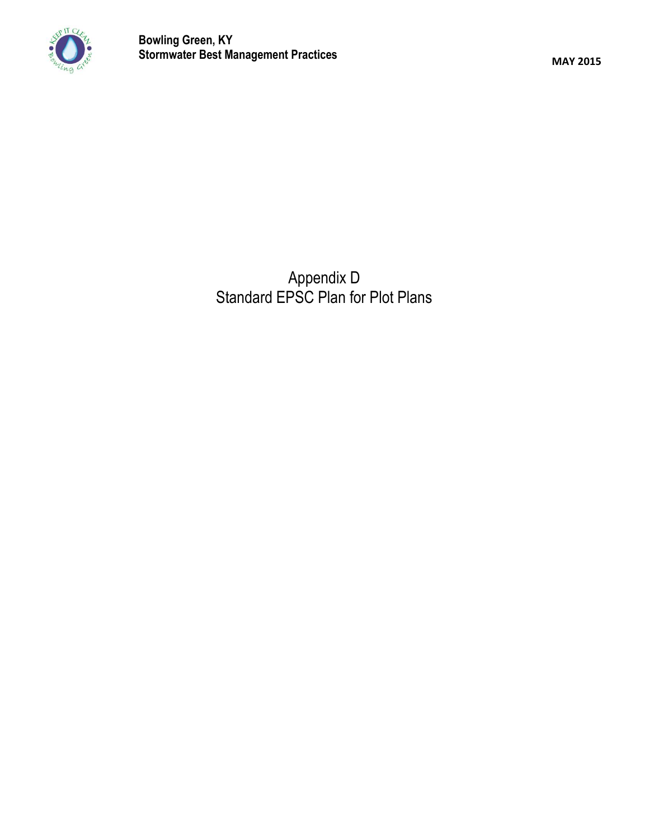

Appendix D Standard EPSC Plan for Plot Plans